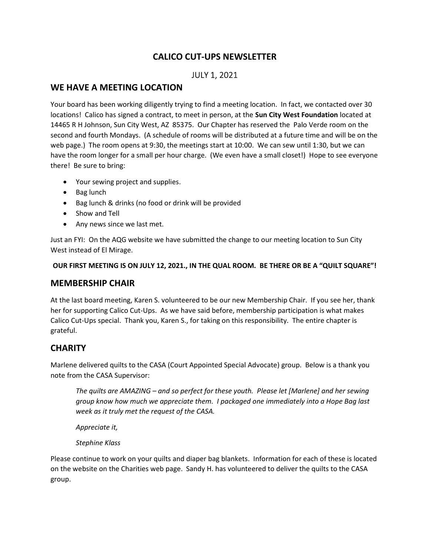# CALICO CUT-UPS NEWSLETTER

# JULY 1, 2021

## WE HAVE A MEETING LOCATION

Your board has been working diligently trying to find a meeting location. In fact, we contacted over 30 locations! Calico has signed a contract, to meet in person, at the Sun City West Foundation located at 14465 R H Johnson, Sun City West, AZ 85375. Our Chapter has reserved the Palo Verde room on the second and fourth Mondays. (A schedule of rooms will be distributed at a future time and will be on the web page.) The room opens at 9:30, the meetings start at 10:00. We can sew until 1:30, but we can have the room longer for a small per hour charge. (We even have a small closet!) Hope to see everyone there! Be sure to bring:

- Your sewing project and supplies.
- Bag lunch
- Bag lunch & drinks (no food or drink will be provided
- Show and Tell
- Any news since we last met.

Just an FYI: On the AQG website we have submitted the change to our meeting location to Sun City West instead of El Mirage.

### OUR FIRST MEETING IS ON JULY 12, 2021., IN THE QUAL ROOM. BE THERE OR BE A "QUILT SQUARE"!

## MEMBERSHIP CHAIR

At the last board meeting, Karen S. volunteered to be our new Membership Chair. If you see her, thank her for supporting Calico Cut-Ups. As we have said before, membership participation is what makes Calico Cut-Ups special. Thank you, Karen S., for taking on this responsibility. The entire chapter is grateful.

## **CHARITY**

Marlene delivered quilts to the CASA (Court Appointed Special Advocate) group. Below is a thank you note from the CASA Supervisor:

The quilts are AMAZING – and so perfect for these youth. Please let [Marlene] and her sewing group know how much we appreciate them. I packaged one immediately into a Hope Bag last week as it truly met the request of the CASA.

Appreciate it,

Stephine Klass

Please continue to work on your quilts and diaper bag blankets. Information for each of these is located on the website on the Charities web page. Sandy H. has volunteered to deliver the quilts to the CASA group.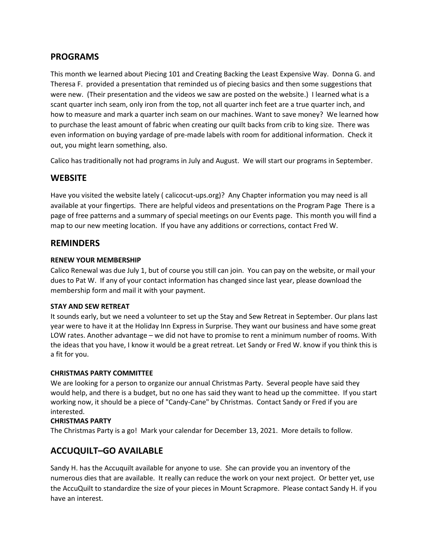# PROGRAMS

This month we learned about Piecing 101 and Creating Backing the Least Expensive Way. Donna G. and Theresa F. provided a presentation that reminded us of piecing basics and then some suggestions that were new. (Their presentation and the videos we saw are posted on the website.) I learned what is a scant quarter inch seam, only iron from the top, not all quarter inch feet are a true quarter inch, and how to measure and mark a quarter inch seam on our machines. Want to save money? We learned how to purchase the least amount of fabric when creating our quilt backs from crib to king size. There was even information on buying yardage of pre-made labels with room for additional information. Check it out, you might learn something, also.

Calico has traditionally not had programs in July and August. We will start our programs in September.

# **WEBSITE**

Have you visited the website lately ( calicocut-ups.org)? Any Chapter information you may need is all available at your fingertips. There are helpful videos and presentations on the Program Page There is a page of free patterns and a summary of special meetings on our Events page. This month you will find a map to our new meeting location. If you have any additions or corrections, contact Fred W.

## REMINDERS

### RENEW YOUR MEMBERSHIP

Calico Renewal was due July 1, but of course you still can join. You can pay on the website, or mail your dues to Pat W. If any of your contact information has changed since last year, please download the membership form and mail it with your payment.

### STAY AND SEW RETREAT

It sounds early, but we need a volunteer to set up the Stay and Sew Retreat in September. Our plans last year were to have it at the Holiday Inn Express in Surprise. They want our business and have some great LOW rates. Another advantage – we did not have to promise to rent a minimum number of rooms. With the ideas that you have, I know it would be a great retreat. Let Sandy or Fred W. know if you think this is a fit for you.

### CHRISTMAS PARTY COMMITTEE

We are looking for a person to organize our annual Christmas Party. Several people have said they would help, and there is a budget, but no one has said they want to head up the committee. If you start working now, it should be a piece of "Candy-Cane" by Christmas. Contact Sandy or Fred if you are interested.

### CHRISTMAS PARTY

The Christmas Party is a go! Mark your calendar for December 13, 2021. More details to follow.

# ACCUQUILT–GO AVAILABLE

Sandy H. has the Accuquilt available for anyone to use. She can provide you an inventory of the numerous dies that are available. It really can reduce the work on your next project. Or better yet, use the AccuQuilt to standardize the size of your pieces in Mount Scrapmore. Please contact Sandy H. if you have an interest.